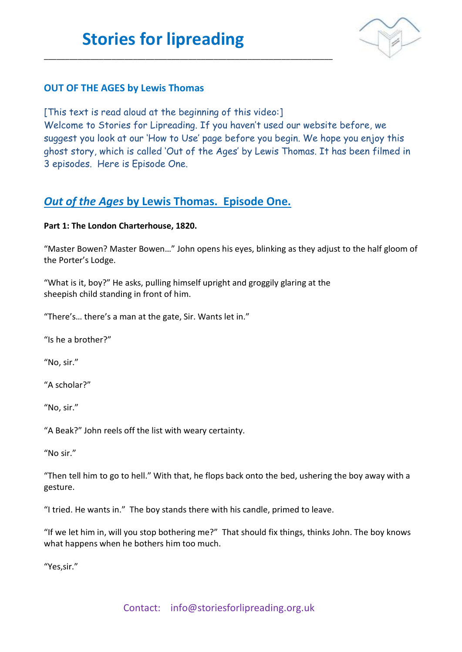\_\_\_\_\_\_\_\_\_\_\_\_\_\_\_\_\_\_\_\_\_\_\_\_\_\_\_\_\_\_\_\_\_\_\_\_\_\_\_\_\_\_\_\_\_\_\_\_\_\_\_\_\_\_\_\_\_\_\_\_\_\_\_\_\_\_\_\_



### **OUT OF THE AGES by Lewis Thomas**

[This text is read aloud at the beginning of this video:]

Welcome to Stories for Lipreading. If you haven't used our website before, we suggest you look at our 'How to Use' page before you begin. We hope you enjoy this ghost story, which is called 'Out of the Ages' by Lewis Thomas. It has been filmed in 3 episodes. Here is Episode One.

### *Out of the Ages* **by Lewis Thomas. Episode One.**

### **Part 1: The London Charterhouse, 1820.**

"Master Bowen? Master Bowen…" John opens his eyes, blinking as they adjust to the half gloom of the Porter's Lodge.

"What is it, boy?" He asks, pulling himself upright and groggily glaring at the sheepish child standing in front of him.

"There's… there's a man at the gate, Sir. Wants let in."

"Is he a brother?"

"No, sir."

"A scholar?"

"No, sir."

"A Beak?" John reels off the list with weary certainty.

"No sir."

"Then tell him to go to hell." With that, he flops back onto the bed, ushering the boy away with a gesture.

"I tried. He wants in." The boy stands there with his candle, primed to leave.

"If we let him in, will you stop bothering me?" That should fix things, thinks John. The boy knows what happens when he bothers him too much.

"Yes,sir."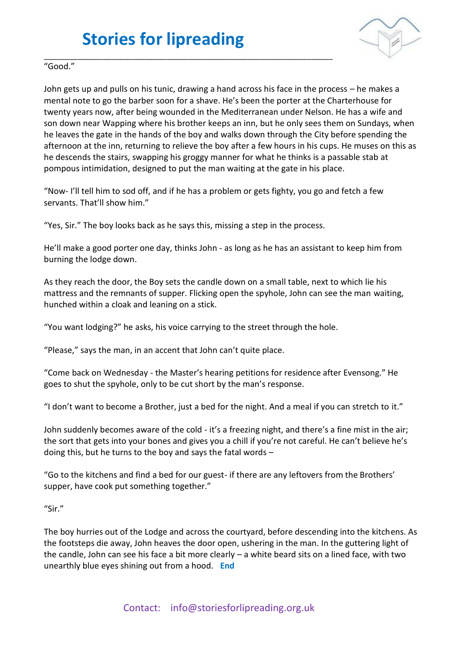

#### \_\_\_\_\_\_\_\_\_\_\_\_\_\_\_\_\_\_\_\_\_\_\_\_\_\_\_\_\_\_\_\_\_\_\_\_\_\_\_\_\_\_\_\_\_\_\_\_\_\_\_\_\_\_\_\_\_\_\_\_\_\_\_\_\_\_\_\_ "Good."

John gets up and pulls on his tunic, drawing a hand across his face in the process – he makes a mental note to go the barber soon for a shave. He's been the porter at the Charterhouse for twenty years now, after being wounded in the Mediterranean under Nelson. He has a wife and son down near Wapping where his brother keeps an inn, but he only sees them on Sundays, when he leaves the gate in the hands of the boy and walks down through the City before spending the afternoon at the inn, returning to relieve the boy after a few hours in his cups. He muses on this as he descends the stairs, swapping his groggy manner for what he thinks is a passable stab at pompous intimidation, designed to put the man waiting at the gate in his place.

"Now- I'll tell him to sod off, and if he has a problem or gets fighty, you go and fetch a few servants. That'll show him."

"Yes, Sir." The boy looks back as he says this, missing a step in the process.

He'll make a good porter one day, thinks John - as long as he has an assistant to keep him from burning the lodge down.

As they reach the door, the Boy sets the candle down on a small table, next to which lie his mattress and the remnants of supper. Flicking open the spyhole, John can see the man waiting, hunched within a cloak and leaning on a stick.

"You want lodging?" he asks, his voice carrying to the street through the hole.

"Please," says the man, in an accent that John can't quite place.

"Come back on Wednesday - the Master's hearing petitions for residence after Evensong." He goes to shut the spyhole, only to be cut short by the man's response.

"I don't want to become a Brother, just a bed for the night. And a meal if you can stretch to it."

John suddenly becomes aware of the cold - it's a freezing night, and there's a fine mist in the air; the sort that gets into your bones and gives you a chill if you're not careful. He can't believe he's doing this, but he turns to the boy and says the fatal words –

"Go to the kitchens and find a bed for our guest- if there are any leftovers from the Brothers' supper, have cook put something together."

#### "Sir."

The boy hurries out of the Lodge and across the courtyard, before descending into the kitchens. As the footsteps die away, John heaves the door open, ushering in the man. In the guttering light of the candle, John can see his face a bit more clearly – a white beard sits on a lined face, with two unearthly blue eyes shining out from a hood. **End**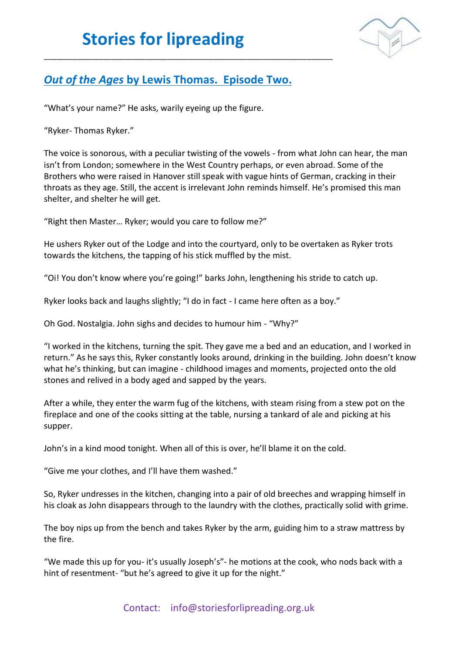

### *Out of the Ages* **by Lewis Thomas. Episode Two.**

\_\_\_\_\_\_\_\_\_\_\_\_\_\_\_\_\_\_\_\_\_\_\_\_\_\_\_\_\_\_\_\_\_\_\_\_\_\_\_\_\_\_\_\_\_\_\_\_\_\_\_\_\_\_\_\_\_\_\_\_\_\_\_\_\_\_\_\_

"What's your name?" He asks, warily eyeing up the figure.

"Ryker- Thomas Ryker."

The voice is sonorous, with a peculiar twisting of the vowels - from what John can hear, the man isn't from London; somewhere in the West Country perhaps, or even abroad. Some of the Brothers who were raised in Hanover still speak with vague hints of German, cracking in their throats as they age. Still, the accent is irrelevant John reminds himself. He's promised this man shelter, and shelter he will get.

"Right then Master… Ryker; would you care to follow me?"

He ushers Ryker out of the Lodge and into the courtyard, only to be overtaken as Ryker trots towards the kitchens, the tapping of his stick muffled by the mist.

"Oi! You don't know where you're going!" barks John, lengthening his stride to catch up.

Ryker looks back and laughs slightly; "I do in fact - I came here often as a boy."

Oh God. Nostalgia. John sighs and decides to humour him - "Why?"

"I worked in the kitchens, turning the spit. They gave me a bed and an education, and I worked in return." As he says this, Ryker constantly looks around, drinking in the building. John doesn't know what he's thinking, but can imagine - childhood images and moments, projected onto the old stones and relived in a body aged and sapped by the years.

After a while, they enter the warm fug of the kitchens, with steam rising from a stew pot on the fireplace and one of the cooks sitting at the table, nursing a tankard of ale and picking at his supper.

John's in a kind mood tonight. When all of this is over, he'll blame it on the cold.

"Give me your clothes, and I'll have them washed."

So, Ryker undresses in the kitchen, changing into a pair of old breeches and wrapping himself in his cloak as John disappears through to the laundry with the clothes, practically solid with grime.

The boy nips up from the bench and takes Ryker by the arm, guiding him to a straw mattress by the fire.

"We made this up for you- it's usually Joseph's"- he motions at the cook, who nods back with a hint of resentment- "but he's agreed to give it up for the night."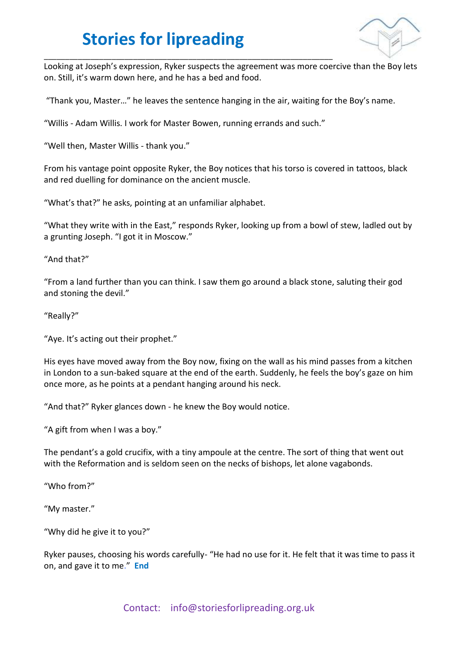

Looking at Joseph's expression, Ryker suspects the agreement was more coercive than the Boy lets on. Still, it's warm down here, and he has a bed and food.

"Thank you, Master…" he leaves the sentence hanging in the air, waiting for the Boy's name.

"Willis - Adam Willis. I work for Master Bowen, running errands and such."

\_\_\_\_\_\_\_\_\_\_\_\_\_\_\_\_\_\_\_\_\_\_\_\_\_\_\_\_\_\_\_\_\_\_\_\_\_\_\_\_\_\_\_\_\_\_\_\_\_\_\_\_\_\_\_\_\_\_\_\_\_\_\_\_\_\_\_\_

"Well then, Master Willis - thank you."

From his vantage point opposite Ryker, the Boy notices that his torso is covered in tattoos, black and red duelling for dominance on the ancient muscle.

"What's that?" he asks, pointing at an unfamiliar alphabet.

"What they write with in the East," responds Ryker, looking up from a bowl of stew, ladled out by a grunting Joseph. "I got it in Moscow."

"And that?"

"From a land further than you can think. I saw them go around a black stone, saluting their god and stoning the devil."

"Really?"

"Aye. It's acting out their prophet."

His eyes have moved away from the Boy now, fixing on the wall as his mind passes from a kitchen in London to a sun-baked square at the end of the earth. Suddenly, he feels the boy's gaze on him once more, as he points at a pendant hanging around his neck.

"And that?" Ryker glances down - he knew the Boy would notice.

"A gift from when I was a boy."

The pendant's a gold crucifix, with a tiny ampoule at the centre. The sort of thing that went out with the Reformation and is seldom seen on the necks of bishops, let alone vagabonds.

"Who from?"

"My master."

"Why did he give it to you?"

Ryker pauses, choosing his words carefully- "He had no use for it. He felt that it was time to pass it on, and gave it to me." **End**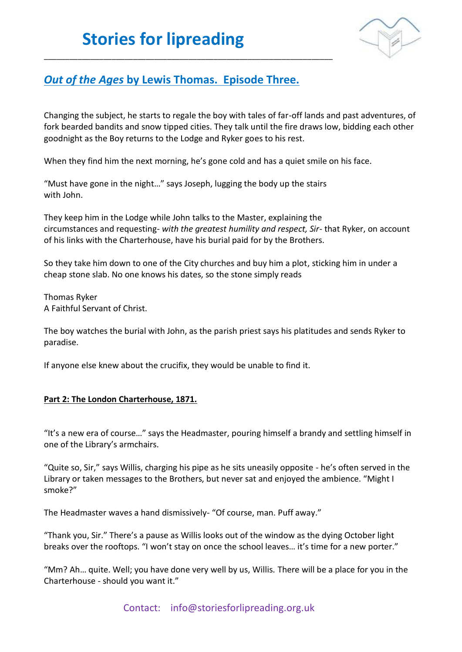

## *Out of the Ages* **by Lewis Thomas. Episode Three.**

\_\_\_\_\_\_\_\_\_\_\_\_\_\_\_\_\_\_\_\_\_\_\_\_\_\_\_\_\_\_\_\_\_\_\_\_\_\_\_\_\_\_\_\_\_\_\_\_\_\_\_\_\_\_\_\_\_\_\_\_\_\_\_\_\_\_\_\_

Changing the subject, he starts to regale the boy with tales of far-off lands and past adventures, of fork bearded bandits and snow tipped cities. They talk until the fire draws low, bidding each other goodnight as the Boy returns to the Lodge and Ryker goes to his rest.

When they find him the next morning, he's gone cold and has a quiet smile on his face.

"Must have gone in the night…" says Joseph, lugging the body up the stairs with John.

They keep him in the Lodge while John talks to the Master, explaining the circumstances and requesting- *with the greatest humility and respect, Sir*- that Ryker, on account of his links with the Charterhouse, have his burial paid for by the Brothers.

So they take him down to one of the City churches and buy him a plot, sticking him in under a cheap stone slab. No one knows his dates, so the stone simply reads

Thomas Ryker A Faithful Servant of Christ.

The boy watches the burial with John, as the parish priest says his platitudes and sends Ryker to paradise.

If anyone else knew about the crucifix, they would be unable to find it.

#### **Part 2: The London Charterhouse, 1871.**

"It's a new era of course…" says the Headmaster, pouring himself a brandy and settling himself in one of the Library's armchairs.

"Quite so, Sir," says Willis, charging his pipe as he sits uneasily opposite - he's often served in the Library or taken messages to the Brothers, but never sat and enjoyed the ambience. "Might I smoke?"

The Headmaster waves a hand dismissively- "Of course, man. Puff away."

"Thank you, Sir." There's a pause as Willis looks out of the window as the dying October light breaks over the rooftops. "I won't stay on once the school leaves... it's time for a new porter."

"Mm? Ah… quite. Well; you have done very well by us, Willis. There will be a place for you in the Charterhouse - should you want it."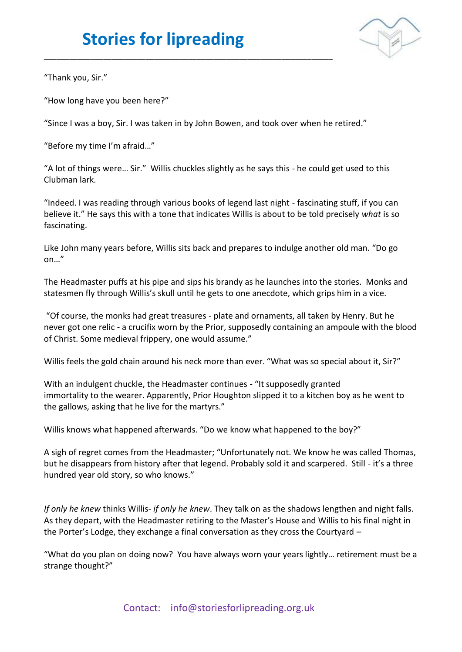

"Thank you, Sir."

"How long have you been here?"

"Since I was a boy, Sir. I was taken in by John Bowen, and took over when he retired."

\_\_\_\_\_\_\_\_\_\_\_\_\_\_\_\_\_\_\_\_\_\_\_\_\_\_\_\_\_\_\_\_\_\_\_\_\_\_\_\_\_\_\_\_\_\_\_\_\_\_\_\_\_\_\_\_\_\_\_\_\_\_\_\_\_\_\_\_

"Before my time I'm afraid…"

"A lot of things were… Sir." Willis chuckles slightly as he says this - he could get used to this Clubman lark.

"Indeed. I was reading through various books of legend last night - fascinating stuff, if you can believe it." He says this with a tone that indicates Willis is about to be told precisely *what* is so fascinating.

Like John many years before, Willis sits back and prepares to indulge another old man. "Do go on…"

The Headmaster puffs at his pipe and sips his brandy as he launches into the stories. Monks and statesmen fly through Willis's skull until he gets to one anecdote, which grips him in a vice.

"Of course, the monks had great treasures - plate and ornaments, all taken by Henry. But he never got one relic - a crucifix worn by the Prior, supposedly containing an ampoule with the blood of Christ. Some medieval frippery, one would assume."

Willis feels the gold chain around his neck more than ever. "What was so special about it, Sir?"

With an indulgent chuckle, the Headmaster continues - "It supposedly granted immortality to the wearer. Apparently, Prior Houghton slipped it to a kitchen boy as he went to the gallows, asking that he live for the martyrs."

Willis knows what happened afterwards. "Do we know what happened to the boy?"

A sigh of regret comes from the Headmaster; "Unfortunately not. We know he was called Thomas, but he disappears from history after that legend. Probably sold it and scarpered. Still - it's a three hundred year old story, so who knows."

*If only he knew* thinks Willis- *if only he knew*. They talk on as the shadows lengthen and night falls. As they depart, with the Headmaster retiring to the Master's House and Willis to his final night in the Porter's Lodge, they exchange a final conversation as they cross the Courtyard –

"What do you plan on doing now? You have always worn your years lightly… retirement must be a strange thought?"